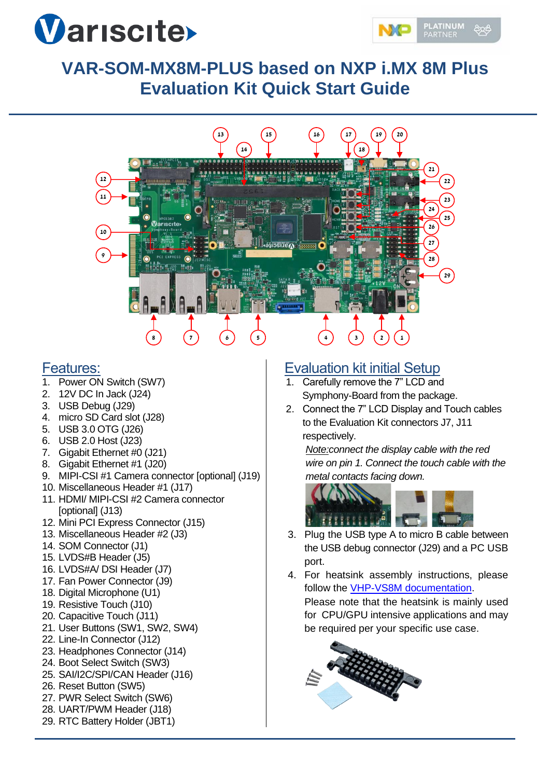



# **VAR-SOM-MX8M-PLUS based on NXP i.MX 8M Plus Evaluation Kit Quick Start Guide**



#### Features:

- 1. Power ON Switch (SW7)
- 2. 12V DC In Jack (J24)
- 3. USB Debug (J29)
- 4. micro SD Card slot (J28)
- 5. USB 3.0 OTG (J26)
- 6. USB 2.0 Host (J23)
- 7. Gigabit Ethernet #0 (J21)
- 8. Gigabit Ethernet #1 (J20)
- 9. MIPI-CSI #1 Camera connector [optional] (J19)
- 10. Miscellaneous Header #1 (J17)
- 11. HDMI/ MIPI-CSI #2 Camera connector [optional] (J13)
- 12. Mini PCI Express Connector (J15)
- 13. Miscellaneous Header #2 (J3)
- 14. SOM Connector (J1)
- 15. LVDS#B Header (J5)
- 16. LVDS#A/ DSI Header (J7)
- 17. Fan Power Connector (J9)
- 18. Digital Microphone (U1)
- 19. Resistive Touch (J10)
- 20. Capacitive Touch (J11)
- 21. User Buttons (SW1, SW2, SW4)
- 22. Line-In Connector (J12)
- 23. Headphones Connector (J14)
- 24. Boot Select Switch (SW3)
- 25. SAI/I2C/SPI/CAN Header (J16)
- 26. Reset Button (SW5)
- 27. PWR Select Switch (SW6)
- 28. UART/PWM Header (J18)
- 29. RTC Battery Holder (JBT1)

## Evaluation kit initial Setup

- 1. Carefully remove the 7" LCD and Symphony-Board from the package.
- 2. Connect the 7" LCD Display and Touch cables to the Evaluation Kit connectors J7, J11 respectively.

*Note:connect the display cable with the red wire on pin 1. Connect the touch cable with the metal contacts facing down.*



- 3. Plug the USB type A to micro B cable between the USB debug connector (J29) and a PC USB port.
- 4. For heatsink assembly instructions, please follow the [VHP-VS8M documentation.](https://www.variscite.com/wp-content/uploads/2021/05/VHP-VS8M_Datasheet.pdf) Please note that the heatsink is mainly used for CPU/GPU intensive applications and may be required per your specific use case.